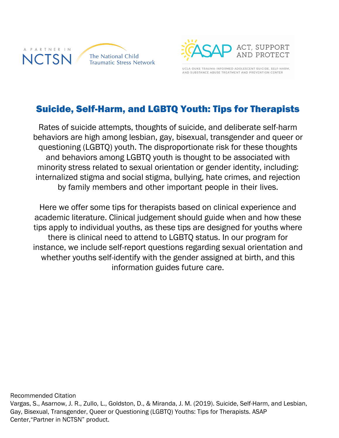



UCLA-DUKE TRAUMA-INFORMED ADOLESCENT SUICIDE, SELF-HARM, AND SUBSTANCE ABUSE TREATMENT AND PREVENTION CENTER

## Suicide, Self-Harm, and LGBTQ Youth: Tips for Therapists

Rates of suicide attempts, thoughts of suicide, and deliberate self-harm behaviors are high among lesbian, gay, bisexual, transgender and queer or questioning (LGBTQ) youth. The disproportionate risk for these thoughts and behaviors among LGBTQ youth is thought to be associated with minority stress related to sexual orientation or gender identity, including: internalized stigma and social stigma, bullying, hate crimes, and rejection by family members and other important people in their lives.

Here we offer some tips for therapists based on clinical experience and academic literature. Clinical judgement should guide when and how these tips apply to individual youths, as these tips are designed for youths where there is clinical need to attend to LGBTQ status. In our program for instance, we include self-report questions regarding sexual orientation and whether youths self-identify with the gender assigned at birth, and this information guides future care.

Recommended Citation Vargas, S., Asarnow, J. R., Zullo, L., Goldston, D., & Miranda, J. M. (2019). Suicide, Self-Harm, and Lesbian, Gay, Bisexual, Transgender, Queer or Questioning (LGBTQ) Youths: Tips for Therapists. ASAP Center,"Partner in NCTSN" product.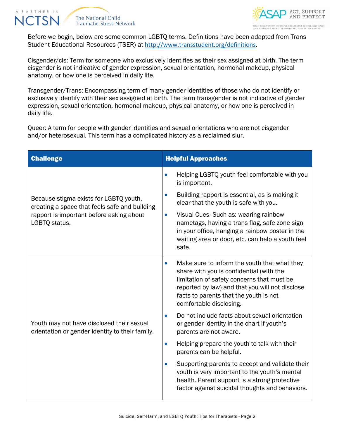





Before we begin, below are some common LGBTQ terms. Definitions have been adapted from Trans Student Educational Resources (TSER) at http://www.transstudent.org/definitions.

Cisgender/cis: Term for someone who exclusively identifies as their sex assigned at birth. The term cisgender is not indicative of gender expression, sexual orientation, hormonal makeup, physical anatomy, or how one is perceived in daily life.

Transgender/Trans: Encompassing term of many gender identities of those who do not identify or exclusively identify with their sex assigned at birth. The term transgender is not indicative of gender expression, sexual orientation, hormonal makeup, physical anatomy, or how one is perceived in daily life.

Queer: A term for people with gender identities and sexual orientations who are not cisgender and/or heterosexual. This term has a complicated history as a reclaimed slur.

| <b>Challenge</b>                                                                                                                                     | <b>Helpful Approaches</b>                                                                                                                                                                                                                                      |
|------------------------------------------------------------------------------------------------------------------------------------------------------|----------------------------------------------------------------------------------------------------------------------------------------------------------------------------------------------------------------------------------------------------------------|
| Because stigma exists for LGBTQ youth,<br>creating a space that feels safe and building<br>rapport is important before asking about<br>LGBTQ status. | Helping LGBTQ youth feel comfortable with you<br>is important.                                                                                                                                                                                                 |
|                                                                                                                                                      | Building rapport is essential, as is making it<br>clear that the youth is safe with you.                                                                                                                                                                       |
|                                                                                                                                                      | Visual Cues-Such as: wearing rainbow<br>$\bullet$<br>nametags, having a trans flag, safe zone sign<br>in your office, hanging a rainbow poster in the<br>waiting area or door, etc. can help a youth feel<br>safe.                                             |
| Youth may not have disclosed their sexual<br>orientation or gender identity to their family.                                                         | Make sure to inform the youth that what they<br>share with you is confidential (with the<br>limitation of safety concerns that must be<br>reported by law) and that you will not disclose<br>facts to parents that the youth is not<br>comfortable disclosing. |
|                                                                                                                                                      | Do not include facts about sexual orientation<br>or gender identity in the chart if youth's<br>parents are not aware.                                                                                                                                          |
|                                                                                                                                                      | Helping prepare the youth to talk with their<br>$\bullet$<br>parents can be helpful.                                                                                                                                                                           |
|                                                                                                                                                      | Supporting parents to accept and validate their<br>youth is very important to the youth's mental<br>health. Parent support is a strong protective<br>factor against suicidal thoughts and behaviors.                                                           |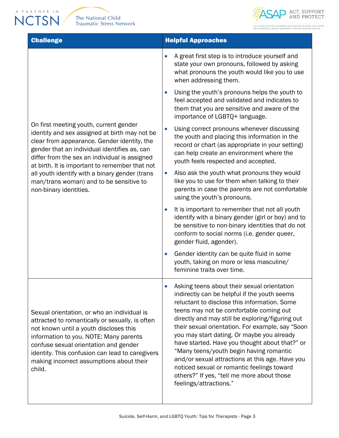PARTNER IN **NCTSN** 



**Challenge Helpful Approaches** On first meeting youth, current gender identity and sex assigned at birth may not be clear from appearance. Gender identity, the gender that an individual identifies as, can differ from the sex an individual is assigned at birth. It is important to remember that not all youth identify with a binary gender (trans man/trans woman) and to be sensitive to non-binary identities. • A great first step is to introduce yourself and state your own pronouns, followed by asking what pronouns the youth would like you to use when addressing them. • Using the youth's pronouns helps the youth to feel accepted and validated and indicates to them that you are sensitive and aware of the importance of LGBTQ+ language. Using correct pronouns whenever discussing the youth and placing this information in the record or chart (as appropriate in your setting) can help create an environment where the youth feels respected and accepted. • Also ask the youth what pronouns they would like you to use for them when talking to their parents in case the parents are not comfortable using the youth's pronouns. • It is important to remember that not all youth identify with a binary gender (girl or boy) and to be sensitive to non-binary identities that do not conform to social norms (i.e. gender queer, gender fluid, agender). • Gender identity can be quite fluid in some youth, taking on more or less masculine/ feminine traits over time. Sexual orientation, or who an individual is attracted to romantically or sexually, is often not known until a youth discloses this information to you. NOTE: Many parents confuse sexual orientation and gender identity. This confusion can lead to caregivers making incorrect assumptions about their child. Asking teens about their sexual orientation indirectly can be helpful if the youth seems reluctant to disclose this information. Some teens may not be comfortable coming out directly and may still be exploring/figuring out their sexual orientation. For example, say "Soon you may start dating. Or maybe you already have started. Have you thought about that?" or "Many teens/youth begin having romantic and/or sexual attractions at this age. Have you noticed sexual or romantic feelings toward others?" If yes, "tell me more about those feelings/attractions."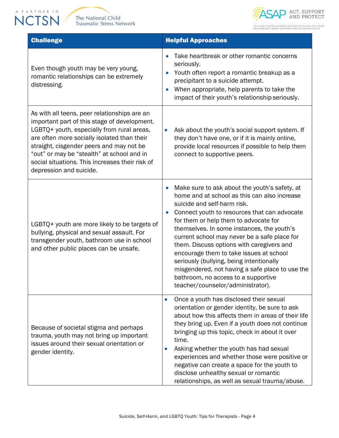





UCLA-DUKE TRAUMA-INFORMED ADOLESCENT SUICIDE, SELF-HARM,<br>AND SUBSTANCE ABUSE TREATMENT AND PREVENTION CENTER

| <b>Challenge</b>                                                                                                                                                                                                                                                                                                                                                  | <b>Helpful Approaches</b>                                                                                                                                                                                                                                                                                                                                                                                                                                                                                                                                                                                        |
|-------------------------------------------------------------------------------------------------------------------------------------------------------------------------------------------------------------------------------------------------------------------------------------------------------------------------------------------------------------------|------------------------------------------------------------------------------------------------------------------------------------------------------------------------------------------------------------------------------------------------------------------------------------------------------------------------------------------------------------------------------------------------------------------------------------------------------------------------------------------------------------------------------------------------------------------------------------------------------------------|
| Even though youth may be very young,<br>romantic relationships can be extremely<br>distressing.                                                                                                                                                                                                                                                                   | Take heartbreak or other romantic concerns<br>$\bullet$<br>seriously.<br>Youth often report a romantic breakup as a<br>$\bullet$<br>precipitant to a suicide attempt.<br>When appropriate, help parents to take the<br>$\bullet$<br>impact of their youth's relationship seriously.                                                                                                                                                                                                                                                                                                                              |
| As with all teens, peer relationships are an<br>important part of this stage of development.<br>LGBTQ+ youth, especially from rural areas,<br>are often more socially isolated than their<br>straight, cisgender peers and may not be<br>"out" or may be "stealth" at school and in<br>social situations. This increases their risk of<br>depression and suicide. | Ask about the youth's social support system. If<br>$\bullet$<br>they don't have one, or if it is mainly online,<br>provide local resources if possible to help them<br>connect to supportive peers.                                                                                                                                                                                                                                                                                                                                                                                                              |
| LGBTQ+ youth are more likely to be targets of<br>bullying, physical and sexual assault. For<br>transgender youth, bathroom use in school<br>and other public places can be unsafe.                                                                                                                                                                                | Make sure to ask about the youth's safety, at<br>$\bullet$<br>home and at school as this can also increase<br>suicide and self-harm risk.<br>Connect youth to resources that can advocate<br>$\bullet$<br>for them or help them to advocate for<br>themselves. In some instances, the youth's<br>current school may never be a safe place for<br>them. Discuss options with caregivers and<br>encourage them to take issues at school<br>seriously (bullying, being intentionally<br>misgendered, not having a safe place to use the<br>bathroom, no access to a supportive<br>teacher/counselor/administrator). |
| Because of societal stigma and perhaps<br>trauma, youth may not bring up important<br>issues around their sexual orientation or<br>gender identity.                                                                                                                                                                                                               | Once a youth has disclosed their sexual<br>$\bullet$<br>orientation or gender identity, be sure to ask<br>about how this affects them in areas of their life<br>they bring up. Even if a youth does not continue<br>bringing up this topic, check in about it over<br>time.<br>Asking whether the youth has had sexual<br>experiences and whether those were positive or<br>negative can create a space for the youth to<br>disclose unhealthy sexual or romantic<br>relationships, as well as sexual trauma/abuse.                                                                                              |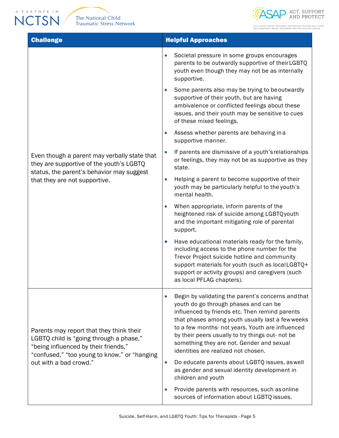APARTNER IN



UCLA-DUKE TRAUMA-INFORMED ADOLESCENT SUICIDE, SELF-HARM,<br>AND SUBSTANCE ABUSE TREATMENT AND PREVENTION CENTER

| <b>Challenge</b>                                                                                                                                                                                      | <b>Helpful Approaches</b>                                                                                                                                                                                                                                                                                                                                                                                 |
|-------------------------------------------------------------------------------------------------------------------------------------------------------------------------------------------------------|-----------------------------------------------------------------------------------------------------------------------------------------------------------------------------------------------------------------------------------------------------------------------------------------------------------------------------------------------------------------------------------------------------------|
| Even though a parent may verbally state that<br>they are supportive of the youth's LGBTQ<br>status, the parent's behavior may suggest<br>that they are not supportive.                                | Societal pressure in some groups encourages<br>$\bullet$<br>parents to be outwardly supportive of theirLGBTQ<br>youth even though they may not be as internally<br>supportive.                                                                                                                                                                                                                            |
|                                                                                                                                                                                                       | Some parents also may be trying to beoutwardly<br>$\bullet$<br>supportive of their youth, but are having<br>ambivalence or conflicted feelings about these<br>issues, and their youth may be sensitive to cues<br>of these mixed feelings.                                                                                                                                                                |
|                                                                                                                                                                                                       | Assess whether parents are behaving in a<br>$\bullet$<br>supportive manner.                                                                                                                                                                                                                                                                                                                               |
|                                                                                                                                                                                                       | If parents are dismissive of a youth's relationships<br>$\bullet$<br>or feelings, they may not be as supportive as they<br>state.                                                                                                                                                                                                                                                                         |
|                                                                                                                                                                                                       | Helping a parent to become supportive of their<br>$\bullet$<br>youth may be particularly helpful to the youth's<br>mental health.                                                                                                                                                                                                                                                                         |
|                                                                                                                                                                                                       | When appropriate, inform parents of the<br>$\bullet$<br>heightened risk of suicide among LGBTQyouth<br>and the important mitigating role of parental<br>support.                                                                                                                                                                                                                                          |
|                                                                                                                                                                                                       | Have educational materials ready for the family,<br>$\bullet$<br>including access to the phone number for the<br>Trevor Project suicide hotline and community<br>support materials for youth (such as localLGBTQ+<br>support or activity groups) and caregivers (such<br>as local PFLAG chapters).                                                                                                        |
| Parents may report that they think their<br>LGBTQ child is "going through a phase,"<br>"being influenced by their friends,"<br>"confused," "too young to know," or "hanging<br>out with a bad crowd." | Begin by validating the parent's concerns and that<br>$\bullet$<br>youth do go through phases and can be<br>influenced by friends etc. Then remind parents<br>that phases among youth usually last a fewweeks<br>to a few months- not years. Youth are influenced<br>by their peers usually to try things out- not be<br>something they are not. Gender and sexual<br>identities are realized not chosen. |
|                                                                                                                                                                                                       | Do educate parents about LGBTQ issues, as well<br>$\bullet$<br>as gender and sexual identity development in<br>children and youth                                                                                                                                                                                                                                                                         |
|                                                                                                                                                                                                       | Provide parents with resources, such as online<br>$\bullet$<br>sources of information about LGBTQ issues.                                                                                                                                                                                                                                                                                                 |